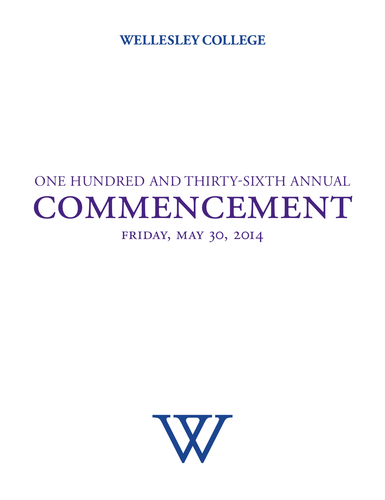**WELLESLEY COLLEGE** 

# One Hundred and Thirty-SIXTH Annual COMMENCEMENT

## Friday, May 30, 2014

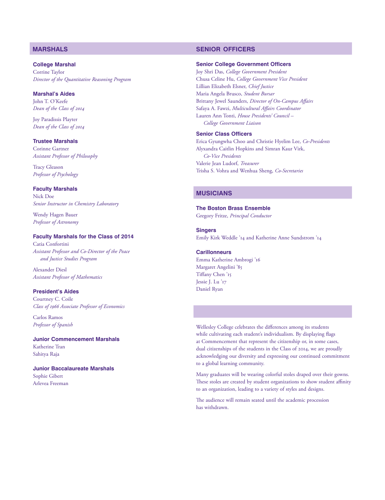#### **College Marshal** Corrine Taylor *Director of the Quantitative Reasoning Program*

#### **Marshal's Aides** John T. O'Keefe *Dean of the Class of 2014*

Joy Paradissis Playter *Dean of the Class of 2014*

#### **Trustee Marshals**

Corinne Gartner *Assistant Professor of Philosophy*

Tracy Gleason *Professor of Psychology*

### **Faculty Marshals**

Nick Doe *Senior Instructor in Chemistry Laboratory*

Wendy Hagen Bauer *Professor of Astronomy*

#### **Faculty Marshals for the Class of 2014**

Catia Confortini *Assistant Professor and Co-Director of the Peace and Justice Studies Program* 

Alexander Diesl *Assistant Professor of Mathematics*

#### **President's Aides**

Courtney C. Coile *Class of 1966 Associate Professor of Economics*

Carlos Ramos *Professor of Spanish*

**Junior Commencement Marshals**  Katherine Tran Sahitya Raja

**Junior Baccalaureate Marshals**  Sophie Gibert Arlevea Freeman

#### **marshals senior officers**

#### **Senior College Government Officers**

Joy Shri Das, *College Government President* Chusa Celine Hu, *College Government Vice President* Lillian Elizabeth Elsner, *Chief Justice* Maria Angela Brusco, *Student Bursar* Brittany Jewel Saunders, *Director of On-Campus Affairs* Safaya A. Fawzi, *Multicultural Affairs Coordinator* Lauren Ann Tonti, *House Presidents' Council – College Government Liaison*

#### **Senior Class Officers**

Erica Gyungwha Choo and Christie Hyelim Lee, *Co-Presidents* Alyxandra Caitlin Hopkins and Simran Kaur Virk, *Co-Vice Presidents* Valerie Jean Ludorf, *Treasurer* Trisha S. Vohra and Wenhua Sheng, *Co-Secretaries*

## **musicians**

#### **The Boston Brass Ensemble** Gregory Fritze, *Principal Conductor*

**Singers**

Emily Kirk Weddle '14 and Katherine Anne Sundstrom '14

#### **Carillonneurs** Emma Katherine Ambrogi '16 Margaret Angelini '85 Tiffany Chen '15 Jessie J. Lu '17 Daniel Ryan

Wellesley College celebrates the differences among its students while cultivating each student's individualism. By displaying flags at Commencement that represent the citizenship or, in some cases, dual citizenships of the students in the Class of 2014, we are proudly acknowledging our diversity and expressing our continued commitment to a global learning community.

Many graduates will be wearing colorful stoles draped over their gowns. These stoles are created by student organizations to show student affinity to an organization, leading to a variety of styles and designs.

The audience will remain seated until the academic procession has withdrawn.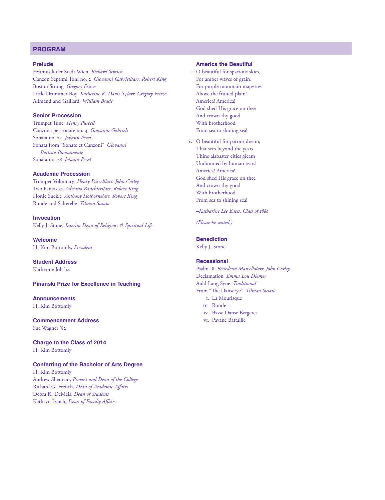#### **program**

#### **Prelude**

Festmusik der Stadt Wien *Richard Strauss* Canzon Septimi Toni no. 2 *Giovanni Gabrieli/arr. Robert King* Boston Strong *Gregory Fritze* Little Drummer Boy *Katherine K. Davis '14/arr. Gregory Fritze* Allmand and Galliard *William Brade*

#### **Senior Procession**

Trumpet Tune *Henry Purcell* Canzona per sonare no. 4 *Giovanni Gabrieli* Sonata no. 22 *Johann Pezel* Sonata from "Sonate et Canzoni" *Giovanni Battista Buonamente* Sonata no. 28 *Johann Pezel*

#### **Academic Procession**

Trumpet Voluntary *Henry Purcell/arr. John Corley* Two Fantasias *Adriano Banchieri/arr. Robert King* Honie Suckle *Anthony Holborne/arr. Robert King* Ronde and Salterelle *Tilman Susato*

**Invocation**  Kelly J. Stone, *Interim Dean of Religious & Spiritual Life*

**Welcome**  H. Kim Bottomly, *President*

**Student Address** Katherine Joh '14

**Pinanski Prize for Excellence in Teaching** 

**Announcements** H. Kim Bottomly

**Commencement Address** Sue Wagner '82

**Charge to the Class of 2014**  H. Kim Bottomly

#### **Conferring of the Bachelor of Arts Degree**

H. Kim Bottomly Andrew Shennan, *Provost and Dean of the College* Richard G. French, *Dean of Academic Affairs* Debra K. DeMeis, *Dean of Students* Kathryn Lynch, *Dean of Faculty Affairs*

#### **America the Beautiful**

- i O beautiful for spacious skies, For amber waves of grain, For purple mountain majesties Above the fruited plain! America! America! God shed His grace on thee And crown thy good With brotherhood From sea to shining sea!
- iv O beautiful for patriot dream, That sees beyond the years Thine alabaster cities gleam Undimmed by human tears! America! America! God shed His grace on thee And crown thy good With brotherhood From sea to shining sea!
	- *–Katharine Lee Bates, Class of 1880*

*(Please be seated.)*

#### **Benediction**

Kelly J. Stone

#### **Recessional**

Psalm 18 *Benedetto Marcello/arr. John Corley* Declamation *Emma Lou Diemer* Auld Lang Syne *Traditional* From "The Danserye" *Tilman Susato* I. La Mourisque

- III Ronde
- IV. Basse Danse Bergeret
- VI. Pavane Battaille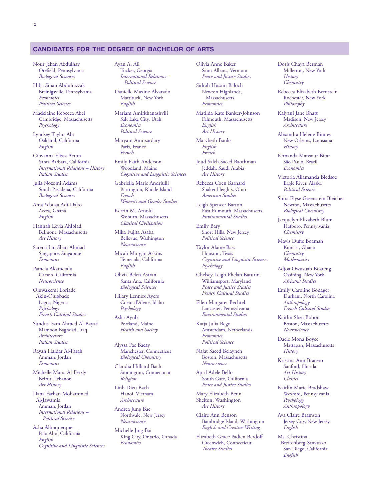#### **candidates for the degree of bachelor of arts**

Nour Jehan Abdulhay Orefield, Pennsylvania *Biological Sciences*

Hiba Sinan Abdulrazzak Breinigsville, Pennsylvania *Economics Political Science*

Madelaine Rebecca Abel Cambridge, Massachusetts *Psychology*

Lyndsey Taylor Abt Oakland, California *English*

Giovanna Elissa Acton Santa Barbara, California *International Relations – History Italian Studies*

Julia Nozomi Adams South Pasadena, California *Biological Sciences*

Ama Yeboaa Adi-Dako Accra, Ghana *English*

Hannah Levia Ahlblad Belmont, Massachusetts *Art History*

Sarena Lin Shan Ahmad Singapore, Singapore *Economics*

Pamela Akametalu Carson, California *Neuroscience*

Oluwakemi Loriade Akin-Olugbade Lagos, Nigeria *Psychology French Cultural Studies*

Sundus Isam Ahmed Al-Bayati Mamoon Baghdad, Iraq *Architecture Italian Studies*

Rayah Haidar Al-Farah Amman, Jordan *Economics*

Michelle Maria Al-Ferzly Beirut, Lebanon *Art History*

Dana Farhan Mohammed Al-Jawamis Amman, Jordan *International Relations – Political Science*

Asha Albuquerque Palo Alto, California *English Cognitive and Linguistic Sciences* Ayan A. Ali Tucker, Georgia *International Relations – Political Science*

Danielle Maxine Alvarado Mattituck, New York *English*

Mariam Amirkhanashvili Salt Lake City, Utah *Economics Political Science*

Maryam Amirsardary Paris, France *French*

Emily Faith Anderson Woodland, Maine *Cognitive and Linguistic Sciences*

Gabriella Marie Andriulli Barrington, Rhode Island *French Women's and Gender Studies*

Kerrin M. Arnold Woburn, Massachusetts *Classical Civilization*

Mika Fujita Asaba Bellevue, Washington *Neuroscience*

Micah Morgan Askins Temecula, California *English*

Olivia Belen Astran Santa Ana, California *Biological Sciences*

Hilary Lennox Ayers Coeur d'Alene, Idaho *Psychology*

Asha Ayub Portland, Maine *Health and Society*

Alyssa Fae Bacay Manchester, Connecticut *Biological Chemistry*

Claudia Hilliard Bach Stonington, Connecticut *Religion*

Linh Dieu Bach Hanoi, Vietnam *Architecture*

Andrea Jung Bae Northvale, New Jersey *Neuroscience*

Michelle Jing Bai King City, Ontario, Canada *Economics*

Olivia Anne Baker Saint Albans, Vermont *Peace and Justice Studies*

Sidrah Husain Baloch Newton Highlands, Massachusetts *Economics*

Matilda Kate Banker-Johnson Falmouth, Massachusetts *English Art History*

Marybeth Banks *English French*

Joud Saleh Saeed Baothman Jeddah, Saudi Arabia *Art History*

Rebecca Coen Barnard Shaker Heights, Ohio *American Studies*

Leigh Spencer Barton East Falmouth, Massachusetts *Environmental Studies*

Emily Bary Short Hills, New Jersey *Political Science*

Taylor Alaine Bass Houston, Texas *Cognitive and Linguistic Sciences Psychology*

Chelsey Leigh Phelan Baturin Williamsport, Maryland *Peace and Justice Studies French Cultural Studies*

Ellen Margaret Bechtel Lancaster, Pennsylvania *Environmental Studies*

Katja Julia Bego Amsterdam, Netherlands *Economics Political Science*

Najat Saeed Belayneh Boston, Massachusetts *Neuroscience*

April Adele Bello South Gate, California *Peace and Justice Studies*

Mary Elizabeth Benn Shelton, Washington *Art History*

Claire Ann Benson Bainbridge Island, Washington *English and Creative Writing*

Elizabeth Grace Padien Berdoff Greenwich, Connecticut *Theatre Studies*

Doris Chaya Berman Millerton, New York *History Chemistry*

Rebecca Elizabeth Bernstein Rochester, New York *Philosophy*

Kalyani Jane Bhatt Madison, New Jersey *Architecture*

Alixandra Helene Binney New Orleans, Louisiana *History*

Fernanda Mansour Bitar São Paulo, Brazil *Economics*

Victoria Allamanda Bledsoe Eagle River, Alaska *Political Science*

Shira Elyse Greenstein Bleicher Newton, Massachusetts *Biological Chemistry*

Jacquelyn Elizabeth Blum Hatboro, Pennsylvania *Chemistry*

Mavis Dufie Boamah Kumasi, Ghana *Chemistry Mathematics*

Adjoa Owusuah Boateng Ossining, New York *Africana Studies*

Emily Caroline Bodager Durham, North Carolina *Anthropology French Cultural Studies*

Kaitlin Shea Bohon Boston, Massachusetts *Neuroscience*

Dacie Mona Boyce Mattapan, Massachusetts *History*

Kristina Ann Bracero Sanford, Florida *Art History Classics*

Kaitlin Marie Bradshaw Wexford, Pennsylvania *Psychology Anthropology*

Ava Claire Bramson Jersey City, New Jersey *English*

Ms. Christina Breitenberg-Scavuzzo San Diego, California *English*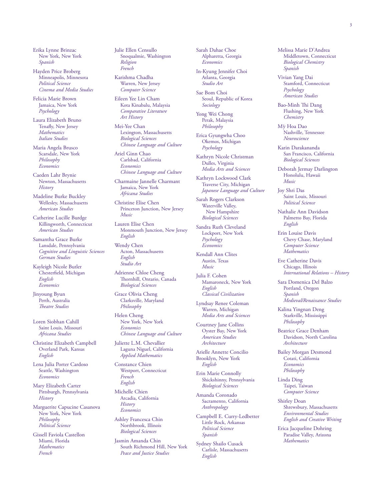Erika Lynne Brinzac New York, New York *Spanish*

Hayden Price Broberg Minneapolis, Minnesota *Political Science Cinema and Media Studies*

Felicia Marie Brown Jamaica, New York *Psychology*

Laura Elizabeth Bruno Tenafly, New Jersey *Mathematics Italian Studies*

Maria Angela Brusco Scarsdale, New York *Philosophy Economics*

Caeden Lahr Brynie Newton, Massachusetts *History*

Madeline Burke Buckley Wellesley, Massachusetts *American Studies*

Catherine Lucille Burdge Killingworth, Connecticut *American Studies*

Samantha Grace Burke Lansdale, Pennsylvania *Cognitive and Linguistic Sciences German Studies*

Kayleigh Nicole Butler Chesterfield, Michigan *English Economics*

Jinyoung Byun Perth, Australia *Theatre Studies*

Loren Siobhan Cahill Saint Louis, Missouri *Africana Studies*

Christine Elizabeth Campbell Overland Park, Kansas *English*

Lena Julia Porter Cardoso Seattle, Washington *Economics*

Mary Elizabeth Carter Pittsburgh, Pennsylvania *History*

Marguerite Capucine Casanova New York, New York *Philosophy Political Science*

Gissell Faviola Castellon Miami, Florida *Mathematics French*

Julie Ellen Censullo Snoqualmie, Washington *Religion French*

Karishma Chadha Warren, New Jersey *Computer Science*

Eileen Yee Lin Cham Kota Kinabalu, Malaysia *Comparative Literature Art History*

Mei-Yee Chan Lexington, Massachusetts *Biological Sciences Chinese Language and Culture*

Ariel Ginn Chao Carlsbad, California *Economics Chinese Language and Culture*

Charmaine Jannelle Charmant Jamaica, New York *Africana Studies*

Christine Elise Chen Princeton Junction, New Jersey *Music*

Lauren Elise Chen Monmouth Junction, New Jersey *English*

Wendy Chen Acton, Massachusetts *English Studio Art*

Adrienne Chloe Cheng Thornhill, Ontario, Canada *Biological Sciences*

Grace Olivia Cheng Clarksville, Maryland *Philosophy*

Helen Cheng New York, New York *Economics Chinese Language and Culture*

Juliette L.M. Chevallier Laguna Niguel, California *Applied Mathematics*

Constance Chien Westport, Connecticut *French English*

Michelle Chien Arcadia, California *History Economics*

Ashley Francesca Chin Northbrook, Illinois *Biological Sciences*

Jasmin Amanda Chin South Richmond Hill, New York *Peace and Justice Studies*

Sarah Dahae Choe Alpharetta, Georgia *Economics*

In-Kyung Jennifer Choi Atlanta, Georgia *Studio Art*

Sae Bom Choi Seoul, Republic of Korea *Sociology*

Yong Wei Chong Perak, Malaysia *Philosophy*

Erica Gyungwha Choo Okemos, Michigan *Psychology*

Kathryn Nicole Christman Dulles, Virginia *Media Arts and Sciences*

Kathryn Lockwood Clark Traverse City, Michigan *Japanese Language and Culture*

Sarah Rogers Clarkson Waterville Valley, New Hampshire *Biological Sciences*

Sandra Ruth Cleveland Lockport, New York *Psychology Economics*

Kendall Ann Clites Austin, Texas *Music*

Julia F. Cohen Mamaroneck, New York *English Classical Civilization*

Lyndsay Renee Coleman Warren, Michigan *Media Arts and Sciences*

Courtney Jane Collins Oyster Bay, New York *American Studies Architecture*

Arielle Annette Concilio Brooklyn, New York *English* 

Erin Marie Connolly Shickshinny, Pennsylvania *Biological Sciences*

Amanda Coronado Sacramento, California *Anthropology*

Campbell E. Curry-Ledbetter Little Rock, Arkansas *Political Science Spanish*

Sydney Shailo Cusack Carlisle, Massachusetts *English*

Melissa Marie D'Andrea Middletown, Connecticut *Biological Chemistry Spanish*

Vivian Yang Dai Stamford, Connecticut *Psychology American Studies*

Bao-Minh Thi Dang Flushing, New York *Chemistry*

M˜y Hoa Dao Nashville, Tennessee *Neuroscience*

Karin Darakananda San Francisco, California *Biological Sciences*

Deborah Jermay Darlington Honolulu, Hawaii *Music*

Joy Shri Das Saint Louis, Missouri *Political Science*

Nathalie Ann Davidson Palmetto Bay, Florida *English*

Erin Louise Davis Chevy Chase, Maryland *Computer Science Mathematics*

Eve Catherine Davis Chicago, Illinois *International Relations – History*

Sara Domenica Del Balzo Portland, Oregon *Spanish Medieval/Renaissance Studies*

Kalina Yingnan Deng Starkville, Mississippi *Philosophy*

Beatrice Grace Denham Davidson, North Carolina *Architecture*

Bailey Morgan Desmond Cotati, California *Economics Philosophy*

Linda Ding Taipei, Taiwan *Computer Science*

Shirley Doan Shrewsbury, Massachusetts *Environmental Studies English and Creative Writing*

Erica Jacqueline Dohring Paradise Valley, Arizona *Mathematics*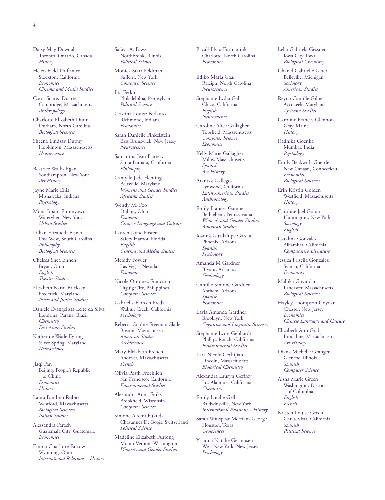Daisy May Dowdall Toronto, Ontario, Canada *History*

Helen Field Driftmier Stockton, California *Economics Cinema and Media Studies*

Carol Suarez Duarte Cambridge, Massachusetts *Anthropology*

Charlotte Elizabeth Dunn Durham, North Carolina *Biological Sciences*

Sheena Lindsay Dupuy Hopkinton, Massachusetts *Neuroscience*

Beatrice Wallis Egan Southampton, New York *Art History*

Jayne Marie Ellis Mishawaka, Indiana *Psychology*

Mona Imam Elminyawi Watervliet, New York *Urban Studies*

Lillian Elizabeth Elsner Due West, South Carolina *Philosophy Biological Sciences*

Chelsea Shea Ennen Bryan, Ohio *English Theatre Studies*

Elisabeth Karin Ericksen Frederick, Maryland *Peace and Justice Studies*

Daniele Evangelista Leite da Silva Londrina, Parana, Brazil *Chemistry East Asian Studies*

Katherine Wade Eyring Silver Spring, Maryland *Neuroscience*

Jiaqi Fan Beijing, People's Republic of China *Economics History*

Laura Fandiño Rubio Westford, Massachusetts *Biological Sciences Italian Studies*

Alessandra Farach Guatemala City, Guatemala *Economics*

Emma Charlotte Farrow Wyoming, Ohio *International Relations – History* Safaya A. Fawzi Northbrook, Illinois *Political Science*

Monica Starr Feldman Suffern, New York *Computer Science*

Ilta Ferko Philadelphia, Pennsylvania *Political Science*

Cristina Louise Ferlauto Richmond, Indiana *Economics*

Sarah Danielle Finkelstein East Brunswick, New Jersey *Neuroscience*

Samantha Jean Flattery Santa Barbara, California *Philosophy*

Camylle Jade Fleming Beltsville, Maryland *Women's and Gender Studies Africana Studies*

Wendy M. Foo Dublin, Ohio *Economics Chinese Language and Culture*

Lauren Jayne Foster Safety Harbor, Florida *English Cinema and Media Studies*

Melody Fowler Las Vegas, Nevada *Economics*

Nicole Ordonez Francisco Taguig City, Philippines *Computer Science*

Gabriella Floreen Freda Walnut Creek, California *Psychology*

Rebecca Sophie Freeman-Slade Boston, Massachusetts *American Studies Architecture*

Mary Elizabeth French Andover, Massachusetts *French*

Olivia Posth Froehlich San Francisco, California *Environmental Studies*

Alexandra Anna Fuiks Brookfield, Wisconsin *Computer Science*

Simone Akemi Fukuda Chavannes De Bogis, Switzerland *Political Science*

Madeline Elizabeth Furlong Mount Vernon, Washington *Women's and Gender Studies*

Bacall Illyra Furmaniuk Charlotte, North Carolina *Economics*

Ildiko Maria Gaal Raleigh, North Carolina *Neuroscience*

Stephanie Lydia Gall Chico, California *English Neuroscience*

Caroline Alice Gallagher Topsfield, Massachusetts *Computer Science Economics*

Kelly Marie Gallagher Millis, Massachusetts *Spanish Art History*

Arantxa Gallegos Lynwood, California *Latin American Studies Anthropology*

Emily Frances Gamber Bethlehem, Pennsylvania *Women's and Gender Studies American Studies*

Joanna Guadalupe Garcia Phoenix, Arizona *Spanish Psychology*

Amanda M Gardner Bryant, Arkansas *Geobiology*

Camille Simone Gardner Anthem, Arizona *Spanish Economics*

Layla Amanda Gardner Brooklyn, New York *Cognitive and Linguistic Sciences*

Stephanie Lynn Gebhardt Phillips Ranch, California *Environmental Studies*

Lara Nicole Gechijian Lincoln, Massachusetts *Biological Chemistry*

Alexandra Lauryn Geffrey Los Alamitos, California *Chemistry*

Emily Lucille Gell Baldwinsville, New York *International Relations – History*

Sarah Winspear Merriam George Houston, Texas *Geosciences*

Yrianna Natalie Germosen West New York, New Jersey *Psychology*

Lelia Gabriela Gessner Iowa City, Iowa *Biological Chemistry*

Chanel Gabrielle Geter Belleville, Michigan *Sociology American Studies*

Reyna Camille Gilbert Accokeek, Maryland *Africana Studies*

Caroline Frances Glennon Gray, Maine *History*

Radhika Goenka Mumbai, India *Psychology*

Emily Beckwith Goettler New Canaan, Connecticut *Economics Biological Sciences*

Erin Kristin Golden Westfield, Massachusetts *History*

Caroline Jael Golub Huntington, New York *Sociology English*

Catalina Gonzalez Alhambra, California *Comparative Literature*

Jessica Priscila Gonzalez Sylmar, California *Economics*

Mallika Govindan Lancaster, Massachusetts *Biological Sciences*

Hayley Thompson Goydan Chester, New Jersey *Economics Chinese Language and Culture*

Elizabeth Ann Grab Brookline, Massachusetts *Art History*

Diana Michelle Granger Glencoe, Illinois *Spanish Computer Science*

Aisha Marie Green Washington, District of Columbia *English French*

Kristen Louise Green Chula Vista, California *Spanish Political Science*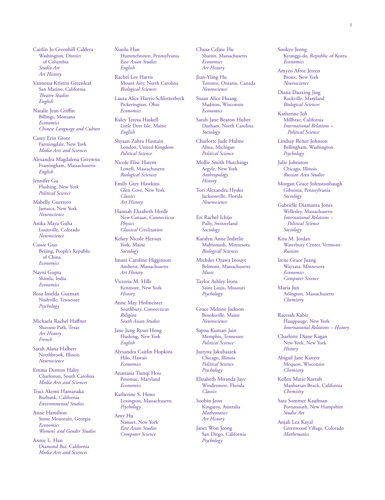Caitlin Jo Greenhill Caldera Washington, District of Columbia *Studio Art Art History*

Vannessa Kristen Greenleaf San Marino, California *Theatre Studies English*

Natalie Jean Griffin Billings, Montana *Economics Chinese Language and Culture*

Casey Erin Grote Farmingdale, New York *Media Arts and Sciences*

Alexandra Magdalena Grzywna Framingham, Massachusetts *English*

Jennifer Gu Flushing, New York *Political Science*

Mabelly Guerrero Jamaica, New York *Neuroscience*

Anika Maya Guha Louisville, Colorado *Neuroscience*

Cassie Guo Beijing, People's Republic of China *Economics*

Nayni Gupta Shimla, India *Economics*

Rosa Imelda Guzman Nashville, Tennessee *Psychology*

Michaela Rachel Haffner Shavano Park, Texas *Art History French*

Sarah Alana Halbert Northbrook, Illinois *Neuroscience*

Emma Denton Haley Charleston, South Carolina *Media Arts and Sciences*

Traci Akemi Hamanaka Burbank, California *Environmental Studies*

Anne Hamilton Stone Mountain, Georgia *Economics Women's and Gender Studies*

Annie L. Han Diamond Bar, California *Media Arts and Sciences*

Xiaolu Han Hummelstown, Pennsylvania *East Asian Studies English*

Rachel Lee Harris Mount Airy, North Carolina *Biological Sciences*

Laura Alice Harris-Schlotterbeck Pickerington, Ohio *Economics*

Kaley Teresa Haskell Little Deer Isle, Maine *English*

Shyaan Zahra Hasnain London, United Kingdom *Political Science*

Nicole Elise Hatem Lowell, Massachusetts *Biological Sciences*

Emily Grey Hawkins Glen Cove, New York *Classics Art History*

Hannah Elizabeth Herde New Canaan, Connecticut *Physics Classical Civilization*

Kelsey Nicole Heroux York, Maine *Sociology*

Imani Caroline Higginson Amherst, Massachusetts *Art History*

Victoria M. Hills Kenmore, New York *History* 

Anne May Hofmeister Southbury, Connecticut *Religion South Asian Studies*

Jane Jung Ryun Hong Flushing, New York *English*

Alyxandra Caitlin Hopkins Hilo, Hawaii *Economics*

Anastasia Tianqi Hou Potomac, Maryland *Economics*

Katherine S. Howe Lexington, Massachusetts *Psychology*

Amy Hu Nanuet, New York *East Asian Studies Computer Science*

Chusa Celine Hu Sharon, Massachusetts *Economics Art History*

Jiun-Yiing Hu Toronto, Ontario, Canada *Neuroscience*

Susan Alice Huang Madison, Wisconsin *Economics*

Sarah Jane Bearon Huber Durham, North Carolina *Sociology*

Charlotte Jude Hulme Alma, Michigan *Political Science*

Mollie Smith Hutchings Argyle, New York *Anthropology History*

Tori Alexandra Hysko Jacksonville, Florida *Neuroscience*

Eri Rachel Ichijo Pully, Switzerland *Sociology*

Karalyn Anne Indrelie Mahtomedi, Minnesota *Biological Sciences*

Michiko Ozawa Inouye Belmont, Massachusetts *Music*

Taylor Ashley Irons Saint Louis, Missouri *Psychology*

Grace Melone Jackson Brooksville, Maine *Neuroscience*

Sapna Kumari Jain Memphis, Tennessee *Political Science*

Justyna Jakubaszek Chicago, Illinois *Political Science Psychology*

Elizabeth Miranda Jaye Windermere, Florida *Classics*

Soobin Jeon Kingaroy, Australia *Mathematics Art History*

Janet Won Jeong San Diego, California *Psychology*

Sookyo Jeong Kyunggi-do, Republic of Korea *Economics*

Amyeo Afroz Jereen Bronx, New York *Neuroscience*

Diana Daoxing Jing Rockville, Maryland *Biological Sciences*

Katherine Joh Millbrae, California *International Relations – Political Science*

Lindsay Renee Johnson Bellingham, Washington *Psychology*

Julie Johnston Chicago, Illinois *Russian Area Studies*

Morgan Grace Johnstonbaugh Gibsonia, Pennsylvania *Sociology*

Gabrielle Diamanta Jones Wellesley, Massachusetts *International Relations – Political Science Sociology*

Kira M. Jordan Waterbury Center, Vermont *Russian*

Irene Grace Juang Wayzata, Minnesota *Economics Computer Science*

Maria Jun Arlington, Massachusetts *Chemistry*

Raeesah Kabir Hauppauge, New York *International Relations – History*

Charlotte Diane Kagan New York, New York *History*

Abigail Jane Kanyer Mequon, Wisconsin *Chemistry*

Kellen Marie Kartub Manhattan Beach, California *Chemistry*

Sara Sommer Kaufman Portsmouth, New Hampshire *Studio Art*

Anjali Lea Kayal Greenwood Village, Colorado *Mathematics*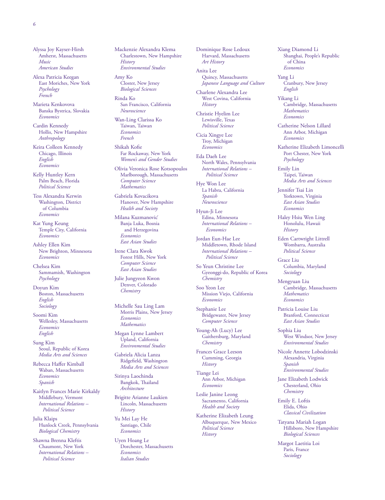Alyssa Joy Kayser-Hirsh Amherst, Massachusetts *Music American Studies*

Alexa Patricia Keegan East Moriches, New York *Psychology French*

Marieta Kenkovova Banska Bystrica, Slovakia *Economics*

Cardin Kennedy Hollis, New Hampshire *Anthropology*

Keira Colleen Kennedy Chicago, Illinois *English Economics*

Kelly Huntley Kern Palm Beach, Florida *Political Science*

Tess Alexandra Kerwin Washington, District of Columbia *Economics*

Kat Yung Keung Temple City, California *Economics*

Ashley Ellen Kim New Brighton, Minnesota *Economics*

Chelsea Kim Sammamish, Washington *Psychology*

Doyun Kim Boston, Massachusetts *English Sociology*

Soomi Kim Wellesley, Massachusetts *Economics English*

Sung Kim Seoul, Republic of Korea *Media Arts and Sciences*

Rebecca Haffer Kimball Waban, Massachusetts *Economics Spanish*

Kaitlyn Frances Marie Kirkaldy Middlebury, Vermont *International Relations – Political Science*

Julia Klaips Hunlock Creek, Pennsylvania *Biological Chemistry*

Shawna Brenna Kleftis Chaumont, New York *International Relations – Political Science*

Mackenzie Alexandra Klema Charlestown, New Hampshire *History Environmental Studies*

Amy Ko Closter, New Jersey *Biological Sciences*

Rinda Ko San Francisco, California *Neuroscience*

Wan-Ling Clarissa Ko Taiwan, Taiwan *Economics French*

Shikah Kofie Far Rockaway, New York *Women's and Gender Studies*

Olivia Veronica Rose Kotsopoulos Marlborough, Massachusetts *Computer Science Mathematics*

Gabriela Kovacikova Hanover, New Hampshire *Health and Society*

Milana Kuzmanovic´ Banja Luka, Bosnia and Herzegovina *Economics East Asian Studies*

Irene Clara Kwok Forest Hills, New York *Computer Science East Asian Studies*

Julie Jungyeon Kwon Denver, Colorado *Chemistry*

Michelle Sau Ling Lam Morris Plains, New Jersey *Economics Mathematics*

Megan Lynne Lambert Upland, California *Environmental Studies*

Gabriela Alicia Lanza Ridgefield, Washington *Media Arts and Sciences*

Sirinya Laochinda Bangkok, Thailand *Architecture*

Brigitte Arianne Laukien Lincoln, Massachusetts *History*

Yu Mei Lay He Santiago, Chile *Economics*

Uyen Hoang Le Dorchester, Massachusetts *Economics Italian Studies*

Dominique Rose Ledoux Harvard, Massachusetts *Art History*

Anita Lee Quincy, Massachusetts *Japanese Language and Culture*

Charlene Alexandra Lee West Covina, California

*History* Christie Hyelim Lee Lewisville, Texas *Political Science*

Cicia Xingye Lee Troy, Michigan *Economics*

Eda Daeh Lee North Wales, Pennsylvania *International Relations – Political Science*

Hye Won Lee La Habra, California *Spanish Neuroscience*

Hyun-Ji Lee Edina, Minnesota *International Relations – Economics*

Jordan Eun-Hae Lee Middletown, Rhode Island *International Relations – Political Science*

So Yeun Christine Lee Gyeonggi-do, Republic of Korea *Chemistry*

Soo Yeon Lee Mission Viejo, California *Economics*

Stephanie Lee Bridgewater, New Jersey *Computer Science*

Young-Ah (Lucy) Lee Gaithersburg, Maryland *Chemistry*

Frances Grace Leeson Cumming, Georgia *History*

Tiange Lei Ann Arbor, Michigan *Economics*

Leslie Janine Leong Sacramento, California *Health and Society*

Katherine Elizabeth Leung Albuquerque, New Mexico *Political Science History*

Xiang Diamond Li Shanghai, People's Republic of China *Economics*

Yang Li Cranbury, New Jersey *English*

Yikang Li Cambridge, Massachusetts *Mathematics Economics*

Catherine Nelson Lillard Ann Arbor, Michigan *Economics*

Katherine Elizabeth Limoncelli Port Chester, New York *Psychology*

Emily Lin Taipei, Taiwan *Media Arts and Sciences*

Jennifer Tsai Lin Yorktown, Virginia *East Asian Studies Economics*

Haley Hsiu Wen Ling Honolulu, Hawaii *History*

Eden Cartwright Littrell Wombarra, Australia *Political Science*

Grace Liu Columbia, Maryland *Sociology*

Mengyuan Liu Cambridge, Massachusetts *Mathematics Economics*

Patricia Louise Liu Branford, Connecticut *East Asian Studies*

Sophia Liu West Windsor, New Jersey *Environmental Studies*

Nicole Annette Lobodzinski Alexandria, Virginia *Spanish Environmental Studies*

Jane Elizabeth Lodwick Chesterland, Ohio *Chemistry*

Emily E. Loftis Elida, Ohio *Classical Civilization*

Tatyana Mariah Logan Hillsboro, New Hampshire *Biological Sciences*

Margot Laetitia Loi Paris, France *Sociology*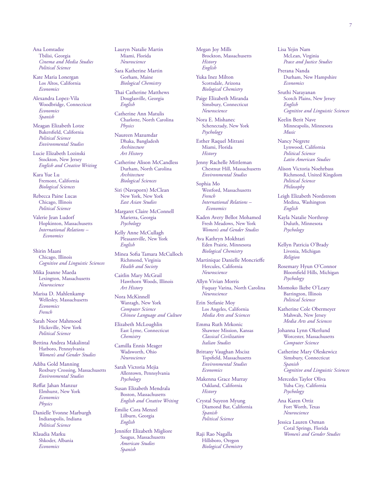Ana Lomtadze Tbilisi, Georgia *Cinema and Media Studies Political Science*

Kate Maria Lonergan Los Altos, California *Economics*

Alexandra Lopez-Vila Woodbridge, Connecticut *Economics Spanish*

Meagan Elizabeth Lotze Bakersfield, California *Political Science Environmental Studies*

Lucie Elizabeth Lozinski Stockton, New Jersey *English and Creative Writing*

Kara Yue Lu Fremont, California *Biological Sciences*

Rebecca Paine Lucas Chicago, Illinois *Political Science*

Valerie Jean Ludorf Hopkinton, Massachusetts *International Relations – Economics*

Shirin Maani Chicago, Illinois *Cognitive and Linguistic Sciences*

Mika Joanne Maeda Lexington, Massachusetts *Neuroscience*

Marisa D. Mahlenkamp Wellesley, Massachusetts *Economics French*

Sarah Noor Mahmood Hicksville, New York *Political Science*

Bettina Andrea Makalintal Hatboro, Pennsylvania *Women's and Gender Studies*

Adiba Gold Manning Roxbury Crossing, Massachusetts *Environmental Studies*

Reffat Jahan Manzur Elmhurst, New York *Economics Physics*

Danielle Yvonne Marburgh Indianapolis, Indiana *Political Science*

Klaudia Marku Shkoder, Albania *Economics*

Lauryn Natalie Martin Miami, Florida *Neuroscience*

Sara Katherine Martin Gorham, Maine *Biological Chemistry*

Thai Catherine Matthews Douglasville, Georgia *English*

Catherine Ann Matulis Charlotte, North Carolina *Physics*

Naureen Mazumdar Dhaka, Bangladesh *Architecture Art History*

Catherine Alison McCandless Durham, North Carolina *Architecture Biological Sciences*

Siri (Navaporn) McClean New York, New York *East Asian Studies*

Margaret Claire McConnell Marietta, Georgia *Psychology*

Kelly Anne McCullagh Pleasantville, New York *English*

Minea Sofia Tamara McCulloch Richmond, Virginia *Health and Society*

Caitlin Mary McGrail Hawthorn Woods, Illinois *Art History*

Nora McKinnell Wantagh, New York *Computer Science Chinese Language and Culture*

Elizabeth McLoughlin East Lyme, Connecticut *Chemistry*

Camilla Ennis Meager Wadsworth, Ohio *Neuroscience*

Sarah Victoria Mejia Allentown, Pennsylvania *Psychology*

Susan Elizabeth Mendrala Boston, Massachusetts *English and Creative Writing*

Emilie Cora Menzel Lilburn, Georgia *English*

Jennifer Elizabeth Migliore Saugus, Massachusetts *American Studies Spanish*

Megan Joy Mills Brockton, Massachusetts *History English*

Yuka Inez Milton Scottsdale, Arizona *Biological Chemistry*

Paige Elizabeth Miranda Simsbury, Connecticut *Neuroscience*

Nora E. Mishanec Schenectady, New York *Psychology*

Esther Raquel Mitrani Miami, Florida *History*

Jenny Rachelle Mittleman Chestnut Hill, Massachusetts *Environmental Studies*

Sophia Mo Westford, Massachusetts *French International Relations – Economics*

Kaden Avery Bellot Mohamed Fresh Meadows, New York *Women's and Gender Studies*

Ava Kathryn Mokhtari Eden Prairie, Minnesota *Biological Chemistry*

Martinique Danielle Moncrieffe Hercules, California *Neuroscience*

Allyn Vivian Morris Fuquay Varina, North Carolina *Neuroscience*

Erin Stefanie Moy Los Angeles, California *Media Arts and Sciences*

Emma Ruth Mrkonic Shawnee Mission, Kansas *Classical Civilization Italian Studies*

Brittany Vaughan Mscisz Topsfield, Massachusetts *Environmental Studies Economics*

Makenna Grace Murray Oakland, California *History*

Crystal Suyeon Myung Diamond Bar, California *Spanish Political Science*

Raji Rao Nagalla Hillsboro, Oregon *Biological Chemistry* Lisa Yejin Nam McLean, Virginia *Peace and Justice Studies*

Prerana Nanda Durham, New Hampshire *Economics*

Sruthi Narayanan Scotch Plains, New Jersey *English Cognitive and Linguistic Sciences*

Keelin Berit Nave Minneapolis, Minnesota *Music*

Nancy Negrete Lynwood, California *Political Science Latin American Studies*

Alison Victoria Noehrbass Richmond, United Kingdom *Political Science Philosophy*

Leigh Elizabeth Nordstrom Medina, Washington *English*

Kayla Natalie Northrop Duluth, Minnesota *Psychology*

Kellyn Patricia O'Brady Livonia, Michigan *Religion*

Rosemary Hyun O'Connor Bloomfield Hills, Michigan *Psychology*

Momoko Ikebe O'Leary Barrington, Illinois *Political Science*

Katherine Cole Obermeyer Mahwah, New Jersey *Media Arts and Sciences*

Johanna Lynn Okerlund Worcester, Massachusetts *Computer Science*

Catherine Mary Oleskewicz Simsbury, Connecticut *Spanish Cognitive and Linguistic Sciences*

Mercedes Taylor Oliva Yuba City, California *Psychology*

Ana Karen Ortiz Fort Worth, Texas *Neuroscience*

Jessica Lauren Osman Coral Springs, Florida *Women's and Gender Studies*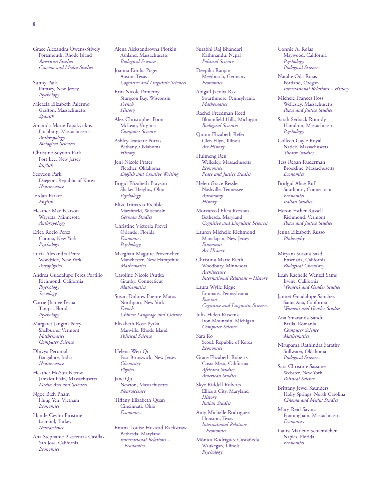Grace Alexandra Owens-Stively Portsmouth, Rhode Island *American Studies Cinema and Media Studies*

Sunny Paik Ramsey, New Jersey *Psychology*

Micaela Elizabeth Palermo Grafton, Massachusetts *Spanish*

Amanda Marie Papakyrikos Fitchburg, Massachusetts *Anthropology Biological Sciences*

Christine Soyoon Park Fort Lee, New Jersey *English*

Seoyeon Park Daejeon, Republic of Korea *Neuroscience*

Jordan Parker *English*

Heather Mae Pearson Wayzata, Minnesota *Anthropology*

Erica Rocio Perez Corona, New York *Psychology*

Lucia Alexandra Perez Woodside, New York *Astrophysics*

Andrea Guadalupe Perez Portillo Richmond, California *Psychology Sociology*

Carrie Jhanee Perna Tampa, Florida *Psychology*

Margaret Jangmi Perry Shelburne, Vermont *Mathematics Computer Science*

Dhivya Perumal Bangalore, India *Neuroscience*

Heather HoSun Petrow Jamaica Plain, Massachusetts *Media Arts and Sciences*

Ngoc Bich Pham Hung Yen, Vietnam *Economics*

Hande Ceylin Piristine Istanbul, Turkey *Neuroscience*

Ana Stephanie Plascencia Casillas San Jose, California *Economics*

Alena Aleksandrovna Plotkin Ashland, Massachusetts *Biological Sciences*

Joanna Emilia Poget Austin, Texas *Cognitive and Linguistic Sciences*

Erin Nicole Pomeroy Sturgeon Bay, Wisconsin *French History*

Alex Christopher Poon McLean, Virginia *Computer Science*

Ashley Jeanette Porras Bethany, Oklahoma *History*

Jeni Nicole Prater Fletcher, Oklahoma *English and Creative Writing*

Brigid Elizabeth Prayson Shaker Heights, Ohio *Psychology*

Elisa Trimarco Prebble Marshfield, Wisconsin *German Studies*

Christine Victoria Prevel Orlando, Florida *Economics Psychology*

Maeghan Maguire Provencher Manchester, New Hampshire *Mathematics*

Caroline Nicole Psutka Granby, Connecticut *Mathematics*

Susan Dolores Puente-Matos Northport, New York *French Chinese Language and Culture*

Elizabeth Rose Pytka Manville, Rhode Island *Political Science*

Helena Wen Qi East Brunswick, New Jersey *Chemistry Physics*

Jane Qu Newton, Massachusetts *Neuroscience*

Tiffany Elizabeth Quan Cincinnati, Ohio *Economics*

Emma Louise Hustead Rackstraw Bethesda, Maryland *International Relations – Economics*

Surabhi Raj Bhandari Kathmandu, Nepal *Political Science*

Deepika Ranjan Meerbusch, Germany *Economics*

Abigail Jacoba Raz Swarthmore, Pennsylvania *Mathematics*

Rachel Freedman Reed Bloomfield Hills, Michigan *Biological Sciences*

Quinn Elizabeth Refer Glen Ellyn, Illinois *Art History*

Huimeng Ren Wellesley, Massachusetts *Economics Peace and Justice Studies*

Helen Grace Ressler Nashville, Tennessee *Astronomy History*

Morvareed Elica Rezaian Bethesda, Maryland *Cognitive and Linguistic Sciences*

Lauren Michelle Richmond Manalapan, New Jersey *Economics Art History*

Christina Marie Rieth Woodbury, Minnesota *Architecture International Relations – History*

Laura Wylie Rigge Emmaus, Pennsylvania *Russian Cognitive and Linguistic Sciences*

Julia Helen Ritsema Iron Mountain, Michigan *Computer Science*

Sara Ro Seoul, Republic of Korea *Economics*

Grace Elizabeth Roberts Costa Mesa, California *Africana Studies American Studies*

Skye Riddell Roberts Ellicott City, Maryland *History Italian Studies*

Amy Michelle Rodriguez Houston, Texas *International Relations – Economics*

Mónica Rodriguez Castañeda Waukegan, Illinois *Psychology*

Connie A. Rojas Maywood, California *Psychology Biological Sciences*

Natalie Oda Rojas Portland, Oregon *International Relations – History*

Michele Frances Ross Wellesley, Massachusetts *Peace and Justice Studies*

Sarah Serback Roundy Hamilton, Massachusetts *Psychology*

Colleen Gayle Royal Natick, Massachusetts *Theatre Studies*

Tess Regan Ruderman Brookline, Massachusetts *Economics*

Bridgid Alice Ruf Southport, Connecticut *Economics Italian Studies*

Heron Esther Russell Richmond, Vermont *Peace and Justice Studies*

Jenna Elizabeth Russo *Philosophy*

Miryam Susana Saad Ensenada, California *Biological Chemistry*

Leah Rachelle Wenzel Sams Irvine, California *Women's and Gender Studies*

Jannet Guadalupe Sánchez Santa Ana, California *Women's and Gender Studies*

Ana Smaranda Sandu Braila, Romania *Computer Science Mathematics*

Nirupama Rathindra Sarathy Stillwater, Oklahoma *Biological Sciences*

Sara Christine Sassone Webster, New York *Political Science*

Brittany Jewel Saunders Holly Springs, North Carolina *Cinema and Media Studies*

Mary-Reid Savoca Framingham, Massachusetts *Economics*

Laura Marlene Schiemichen Naples, Florida *Economics*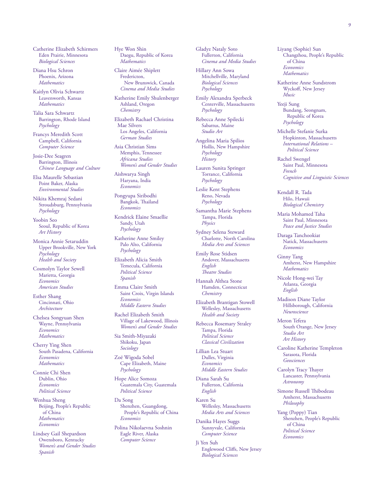Catherine Elizabeth Schirmers Eden Prairie, Minnesota *Biological Sciences*

Diana Hsu Schron Phoenix, Arizona *Mathematics*

Kaitlyn Olivia Schwartz Leavenworth, Kansas *Mathematics*

Talia Sara Schwartz Barrington, Rhode Island *Psychology*

Francys Meredith Scott Campbell, California *Computer Science*

Josie-Dee Seagren Barrington, Illinois *Chinese Language and Culture*

Elsa Maurelle Sebastian Point Baker, Alaska *Environmental Studies*

Nikita Khemraj Sedani Stroudsburg, Pennsylvania *Psychology*

Yoobin Seo Seoul, Republic of Korea *Art History*

Monica Annie Setaruddin Upper Brookville, New York *Psychology Health and Society*

Cosmolyn Taylor Sewell Marietta, Georgia *Economics American Studies*

Esther Shang Cincinnati, Ohio *Architecture*

Chelsea Songyuan Shen Wayne, Pennsylvania *Economics Mathematics*

Cherry Ying Shen South Pasadena, California *Economics Mathematics*

Connie Chi Shen Dublin, Ohio *Economics Political Science*

Wenhua Sheng Beijing, People's Republic of China *Mathematics Economics*

Lindsey Gail Shepardson Owensboro, Kentucky *Women's and Gender Studies Spanish*

Hye Won Shin Daegu, Republic of Korea *Mathematics*

Claire Aimée Shiplett Fredericton, New Brunswick, Canada *Cinema and Media Studies*

Katherine Emily Shulenberger Ashland, Oregon *Chemistry*

Elizabeth Rachael Christina Mae Silvers Los Angeles, California *German Studies*

Asia Christian Sims Memphis, Tennessee *Africana Studies Women's and Gender Studies*

Aishwarya Singh Haryana, India *Economics*

Pongyupa Siribodhi Bangkok, Thailand *Economics*

Kendrick Elaine Smaellie Sandy, Utah *Psychology*

Katherine Anne Smiley Palo Alto, California *Psychology*

Elizabeth Alicia Smith Temecula, California *Political Science Spanish*

Emma Claire Smith Saint Croix, Virgin Islands *Economics Middle Eastern Studies*

Rachel Elizabeth Smith Village of Lakewood, Illinois *Women's and Gender Studies*

Sia Smith-Miyazaki Shikoku, Japan *Sociology*

Zoë Wigoda Sobel Cape Elizabeth, Maine *Psychology*

Hope Alice Somoza Guatemala City, Guatemala *Political Science*

Da Song Shenzhen, Guangdong, People's Republic of China *Economics*

Polina Nikolaevna Soshnin Eagle River, Alaska *Computer Science*

Gladyz Nataly Soto Fullerton, California *Cinema and Media Studies*

Hillary Ann Sowa Mitchellville, Maryland *Biological Sciences Psychology*

Emily Alexandra Sperbeck Centerville, Massachusetts *Psychology*

Rebecca Anne Spilecki Sabattus, Maine *Studio Art*

Angelina Maria Spilios Hollis, New Hampshire *Psychology History*

Lauren Sunita Springer Torrance, California *Psychology*

Leslie Kent Stephens Reno, Nevada *Psychology*

Samantha Marie Stephens Tampa, Florida *Physics*

Sydney Selena Steward Charlotte, North Carolina *Media Arts and Sciences*

Emily Rose Stidsen Andover, Massachusetts *English Theatre Studies*

Hannah Althea Stone Hamden, Connecticut *Chemistry*

Elizabeth Brantigan Stowell Wellesley, Massachusetts *Health and Society*

Rebecca Rosemary Straley Tampa, Florida *Political Science Classical Civilization*

Lillian Lea Stuart Dulles, Virginia *Economics Middle Eastern Studies*

Diana Sarah Su Fullerton, California *English*

Karen Su Wellesley, Massachusetts *Media Arts and Sciences*

Danika Hayes Suggs Sunnyvale, California *Computer Science*

Ji Yen Suh Englewood Cliffs, New Jersey *Biological Sciences*

Liyang (Sophie) Sun Changzhou, People's Republic of China *Economics Mathematics*

Katherine Anne Sundstrom Wyckoff, New Jersey *Music*

Yeeji Sung Bundang, Seongnam, Republic of Korea *Psychology*

Michelle Stefanie Surka Hopkinton, Massachusetts *International Relations – Political Science*

Rachel Swengel Saint Paul, Minnesota *French Cognitive and Linguistic Sciences*

Kendall R. Tada Hilo, Hawaii *Biological Chemistry*

Maria Mohamed Taha Saint Paul, Minnesota *Peace and Justice Studies*

Daraga Tanchookiat Natick, Massachusetts *Economics*

Ginny Tang Amherst, New Hampshire *Mathematics*

Nicole Hong-wei Tay Atlanta, Georgia *English*

Madison Diane Taylor Hillsborough, California *Neuroscience*

Meron Tefera South Orange, New Jersey *Studio Art Art History*

Caroline Katherine Templeton Sarasota, Florida *Geosciences*

Carolyn Tracy Thayer Lancaster, Pennsylvania *Astronomy*

Simone Russell Thibodeau Amherst, Massachusetts *Philosophy*

Yang (Poppy) Tian Shenzhen, People's Republic of China *Political Science Economics*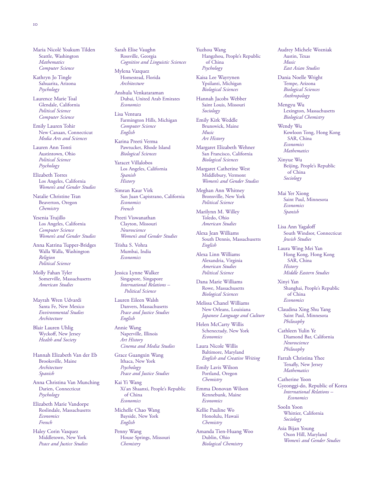Maria Nicolé Yoakum Tilden Seattle, Washington *Mathematics Computer Science*

Kathryn Jo Tingle Sahuarita, Arizona *Psychology*

Laurence Marie Toal Glendale, California *Political Science Computer Science*

Emily Lauren Tohir New Canaan, Connecticut *Media Arts and Sciences*

Lauren Ann Tonti Austintown, Ohio *Political Science Psychology*

Elizabeth Torres Los Angeles, California *Women's and Gender Studies*

Natalie Christine Tran Beaverton, Oregon *Chemistry*

Yesenia Trujillo Los Angeles, California *Computer Science Women's and Gender Studies*

Anna Katrina Tupper-Bridges Walla Walla, Washington *Religion Political Science*

Molly Fahan Tyler Somerville, Massachusetts *American Studies*

Mayrah Wren Udvardi Santa Fe, New Mexico *Environmental Studies Architecture*

Blair Lauren Uhlig Wyckoff, New Jersey *Health and Society*

Hannah Elizabeth Van der Eb Brooksville, Maine *Architecture Spanish*

Anna Christina Van Munching Darien, Connecticut *Psychology*

Elizabeth Marie Vandorpe Roslindale, Massachusetts *Economics French*

Haley Corin Vasquez Middletown, New York *Peace and Justice Studies* Sarah Elise Vaughn Rossville, Georgia *Cognitive and Linguistic Sciences*

Mylena Vazquez Homestead, Florida *Architecture*

Anshula Venkataraman Dubai, United Arab Emirates *Economics*

Lisa Ventura Farmington Hills, Michigan *Computer Science English*

Karina Preeti Verma Pawtucket, Rhode Island *Biological Sciences*

Yaracet Villalobos Los Angeles, California *Spanish History*

Simran Kaur Virk San Juan Capistrano, California *Economics French*

Preeti Viswanathan Clayton, Missouri *Neuroscience Women's and Gender Studies*

Trisha S. Vohra Mumbai, India *Economics*

Jessica Lynne Walker Singapore, Singapore *International Relations – Political Science*

Lauren Eileen Walsh Danvers, Massachusetts *Peace and Justice Studies English*

Annie Wang Naperville, Illinois *Art History Cinema and Media Studies*

Grace Guangxin Wang Ithaca, New York *Psychology Peace and Justice Studies*

Kai Yi Wang Xi'an Shaanxi, People's Republic of China *Economics*

Michelle Chao Wang Bayside, New York *English*

Penny Wang House Springs, Missouri *Chemistry*

Yuzhou Wang Hangzhou, People's Republic of China *Psychology*

Kaisa Lee Wayrynen Ypsilanti, Michigan *Biological Sciences*

Hannah Jacobs Webber Saint Louis, Missouri *Sociology*

Emily Kirk Weddle Brunswick, Maine *Music Art History*

Margaret Elizabeth Wehner San Francisco, California *Biological Sciences*

Margaret Catherine West Middlebury, Vermont *Women's and Gender Studies*

Meghan Ann Whitney Bronxville, New York *Political Science*

Marilynn M. Willey Toledo, Ohio *American Studies*

Alexa Jean Williams South Dennis, Massachusetts *English*

Alexa Linn Williams Alexandria, Virginia *American Studies Political Science*

Dana Marie Williams Rowe, Massachusetts *Biological Sciences*

Melissa Chanel Williams New Orleans, Louisiana *Japanese Language and Culture*

Helen McCarty Willis Schenectady, New York *Economics*

Laura Nicole Willis Baltimore, Maryland *English and Creative Writing*

Emily Lavis Wilson Portland, Oregon *Chemistry*

Emma Donovan Wilson Kennebunk, Maine *Economics*

Kellie Pauline Wo Honolulu, Hawaii *Chemistry*

Amanda Tien-Huang Woo Dublin, Ohio *Biological Chemistry*

Audrey Michele Wozniak Austin, Texas *Music East Asian Studies*

Dania Noelle Wright Tempe, Arizona *Biological Sciences Anthropology*

Mengyu Wu Lexington, Massachusetts *Biological Chemistry*

Wendy Wu Kowloon Tong, Hong Kong SAR, China *Economics Mathematics*

Xinyue Wu Beijing, People's Republic of China *Sociology*

Mai Yer Xiong Saint Paul, Minnesota *Economics Spanish*

Lisa Ann Yagaloff South Windsor, Connecticut *Jewish Studies*

Laura Wing Mei Yan Hong Kong, Hong Kong SAR, China *History Middle Eastern Studies*

Xinyi Yan Shanghai, People's Republic of China *Economics*

Claudina Xing Shu Yang Saint Paul, Minnesota *Philosophy*

Cathleen Yulin Ye Diamond Bar, California *Neuroscience Philosophy*

Farrah Christina Yhee Tenafly, New Jersey *Mathematics*

Catherine Yoon Gyeonggi-do, Republic of Korea *International Relations – Economics*

SooIn Yoon Whittier, California *Sociology*

Asia Bijan Young Oxon Hill, Maryland *Women's and Gender Studies*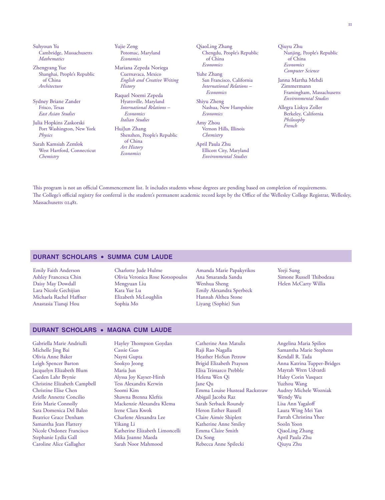Suhyoun Yu Cambridge, Massachusetts *Mathematics*

Zhengyang Yue Shanghai, People's Republic of China *Architecture*

Sydney Briane Zander Frisco, Texas *East Asian Studies*

Julia Hopkins Zaskorski Port Washington, New York *Physics*

Sarah Kamsiah Zemlok West Hartford, Connecticut *Chemistry*

Yujie Zeng Potomac, Maryland *Economics*

Mariana Zepeda Noriega Cuernavaca, Mexico *English and Creative Writing History*

Raquel Noemi Zepeda Hyattsville, Maryland *International Relations – Economics Italian Studies*

HuiJun Zhang Shenzhen, People's Republic of China *Art History Economics*

QiaoLing Zhang Chengdu, People's Republic of China *Economics*

Yuhe Zhang San Francisco, California *International Relations – Economics*

Shiyu Zheng Nashua, New Hampshire *Economics*

Amy Zhou Vernon Hills, Illinois *Chemistry*

April Paula Zhu Ellicott City, Maryland *Environmental Studies*

Qiuyu Zhu Nanjing, People's Republic of China *Economics Computer Science*

Janna Martha Mehdi Zimmermann Framingham, Massachusetts *Environmental Studies*

Allegra Liskya Zoller Berkeley, California *Philosophy French*

This program is not an official Commencement list. It includes students whose degrees are pending based on completion of requirements. The College's official registry for conferral is the student's permanent academic record kept by the Office of the Wellesley College Registrar, Wellesley, Massachusetts 02481.

#### **durant scholars • summa cum laude**

Emily Faith Anderson Ashley Francesca Chin Daisy May Dowdall Lara Nicole Gechijian Michaela Rachel Haffner Anastasia Tianqi Hou

Charlotte Jude Hulme Olivia Veronica Rose Kotsopoulos Mengyuan Liu Kara Yue Lu Elizabeth McLoughlin Sophia Mo

Amanda Marie Papakyrikos Ana Smaranda Sandu Wenhua Sheng Emily Alexandra Sperbeck Hannah Althea Stone Liyang (Sophie) Sun

Yeeji Sung Simone Russell Thibodeau Helen McCarty Willis

#### **durant scholars • magna cum laude**

Gabriella Marie Andriulli Michelle Jing Bai Olivia Anne Baker Leigh Spencer Barton Jacquelyn Elizabeth Blum Caeden Lahr Brynie Christine Elizabeth Campbell Christine Elise Chen Arielle Annette Concilio Erin Marie Connolly Sara Domenica Del Balzo Beatrice Grace Denham Samantha Jean Flattery Nicole Ordonez Francisco Stephanie Lydia Gall Caroline Alice Gallagher

Hayley Thompson Goydan Cassie Guo Nayni Gupta Sookyo Jeong Maria Jun Alyssa Joy Kayser-Hirsh Tess Alexandra Kerwin Soomi Kim Shawna Brenna Kleftis Mackenzie Alexandra Klema Irene Clara Kwok Charlene Alexandra Lee Yikang Li Katherine Elizabeth Limoncelli Mika Joanne Maeda Sarah Noor Mahmood

Catherine Ann Matulis Raji Rao Nagalla Heather HoSun Petrow Brigid Elizabeth Prayson Elisa Trimarco Prebble Helena Wen Qi Jane Qu Emma Louise Hustead Rackstraw Abigail Jacoba Raz Sarah Serback Roundy Heron Esther Russell Claire Aimée Shiplett Katherine Anne Smiley Emma Claire Smith Da Song Rebecca Anne Spilecki

Angelina Maria Spilios Samantha Marie Stephens Kendall R. Tada Anna Katrina Tupper-Bridges Mayrah Wren Udvardi Haley Corin Vasquez Yuzhou Wang Audrey Michele Wozniak Wendy Wu Lisa Ann Yagaloff Laura Wing Mei Yan Farrah Christina Yhee SooIn Yoon QiaoLing Zhang April Paula Zhu Qiuyu Zhu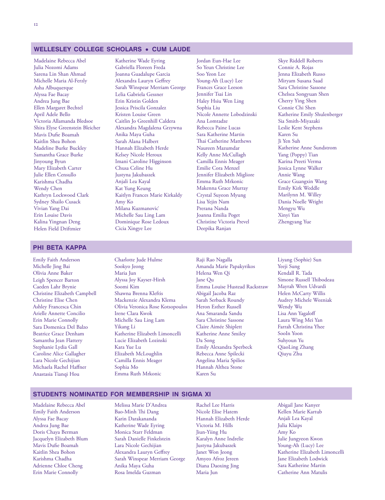#### **wellesley college scholars • cum laude**

Madelaine Rebecca Abel Julia Nozomi Adams Sarena Lin Shan Ahmad Michelle Maria Al-Ferzly Asha Albuquerque Alyssa Fae Bacay Andrea Jung Bae Ellen Margaret Bechtel April Adele Bello Victoria Allamanda Bledsoe Shira Elyse Greenstein Bleicher Mavis Dufie Boamah Kaitlin Shea Bohon Madeline Burke Buckley Samantha Grace Burke Jinyoung Byun Mary Elizabeth Carter Julie Ellen Censullo Karishma Chadha Wendy Chen Kathryn Lockwood Clark Sydney Shailo Cusack Vivian Yang Dai Erin Louise Davis Kalina Yingnan Deng Helen Field Driftmier

Katherine Wade Eyring Gabriella Floreen Freda Joanna Guadalupe Garcia Alexandra Lauryn Geffrey Sarah Winspear Merriam George Lelia Gabriela Gessner Erin Kristin Golden Jessica Priscila Gonzalez Kristen Louise Green Caitlin Jo Greenhill Caldera Alexandra Magdalena Grzywna Anika Maya Guha Sarah Alana Halbert Hannah Elizabeth Herde Kelsey Nicole Heroux Imani Caroline Higginson Chusa Celine Hu Justyna Jakubaszek Anjali Lea Kayal Kat Yung Keung Kaitlyn Frances Marie Kirkaldy Amy Ko Milana Kuzmanovic´ Michelle Sau Ling Lam Dominique Rose Ledoux Cicia Xingye Lee

Jordan Eun-Hae Lee So Yeun Christine Lee Soo Yeon Lee Young-Ah (Lucy) Lee Frances Grace Leeson Jennifer Tsai Lin Haley Hsiu Wen Ling Sophia Liu Nicole Annette Lobodzinski Ana Lomtadze Rebecca Paine Lucas Sara Katherine Martin Thai Catherine Matthews Naureen Mazumdar Kelly Anne McCullagh Camilla Ennis Meager Emilie Cora Menzel Jennifer Elizabeth Migliore Emma Ruth Mrkonic Makenna Grace Murray Crystal Suyeon Myung Lisa Yejin Nam Prerana Nanda Joanna Emilia Poget Christine Victoria Prevel Deepika Ranjan

Skye Riddell Roberts Connie A. Rojas Jenna Elizabeth Russo Miryam Susana Saad Sara Christine Sassone Chelsea Songyuan Shen Cherry Ying Shen Connie Chi Shen Katherine Emily Shulenberger Sia Smith-Miyazaki Leslie Kent Stephens Karen Su Ji Yen Suh Katherine Anne Sundstrom Yang (Poppy) Tian Karina Preeti Verma Jessica Lynne Walker Annie Wang Grace Guangxin Wang Emily Kirk Weddle Marilynn M. Willey Dania Noelle Wright Mengyu Wu Xinyi Yan Zhengyang Yue

#### **phi beta kappa**

Emily Faith Anderson Michelle Jing Bai Olivia Anne Baker Leigh Spencer Barton Caeden Lahr Brynie Christine Elizabeth Campbell Christine Elise Chen Ashley Francesca Chin Arielle Annette Concilio Erin Marie Connolly Sara Domenica Del Balzo Beatrice Grace Denham Samantha Jean Flattery Stephanie Lydia Gall Caroline Alice Gallagher Lara Nicole Gechijian Michaela Rachel Haffner Anastasia Tianqi Hou

Charlotte Jude Hulme Sookyo Jeong Maria Jun Alyssa Joy Kayser-Hirsh Soomi Kim Shawna Brenna Kleftis Mackenzie Alexandra Klema Olivia Veronica Rose Kotsopoulos Irene Clara Kwok Michelle Sau Ling Lam Yikang Li Katherine Elizabeth Limoncelli Lucie Elizabeth Lozinski Kara Yue Lu Elizabeth McLoughlin Camilla Ennis Meager Sophia Mo Emma Ruth Mrkonic

- Raji Rao Nagalla Amanda Marie Papakyrikos Helena Wen Qi Jane Qu Emma Louise Hustead Rackstraw Abigail Jacoba Raz Sarah Serback Roundy Heron Esther Russell Ana Smaranda Sandu Sara Christine Sassone Claire Aimée Shiplett Katherine Anne Smiley Da Song Emily Alexandra Sperbeck Rebecca Anne Spilecki Angelina Maria Spilios Hannah Althea Stone Karen Su
- Liyang (Sophie) Sun Yeeji Sung Kendall R. Tada Simone Russell Thibodeau Mayrah Wren Udvardi Helen McCarty Willis Audrey Michele Wozniak Wendy Wu Lisa Ann Yagaloff Laura Wing Mei Yan Farrah Christina Yhee SooIn Yoon Suhyoun Yu QiaoLing Zhang Qiuyu Zhu

#### **students nominated for membership in sigma xi**

Madelaine Rebecca Abel Emily Faith Anderson Alyssa Fae Bacay Andrea Jung Bae Doris Chaya Berman Jacquelyn Elizabeth Blum Mavis Dufie Boamah Kaitlin Shea Bohon Karishma Chadha Adrienne Chloe Cheng Erin Marie Connolly

Melissa Marie D'Andrea Bao-Minh Thi Dang Karin Darakananda Katherine Wade Eyring Monica Starr Feldman Sarah Danielle Finkelstein Lara Nicole Gechijian Alexandra Lauryn Geffrey Sarah Winspear Merriam George Anika Maya Guha Rosa Imelda Guzman

Rachel Lee Harris Nicole Elise Hatem Hannah Elizabeth Herde Victoria M. Hills Jiun-Yiing Hu Karalyn Anne Indrelie Justyna Jakubaszek Janet Won Jeong Amyeo Afroz Jereen Diana Daoxing Jing Maria Jun

Abigail Jane Kanyer Kellen Marie Kartub Anjali Lea Kayal Julia Klaips Amy Ko Julie Jungyeon Kwon Young-Ah (Lucy) Lee Katherine Elizabeth Limoncelli Jane Elizabeth Lodwick Sara Katherine Martin Catherine Ann Matulis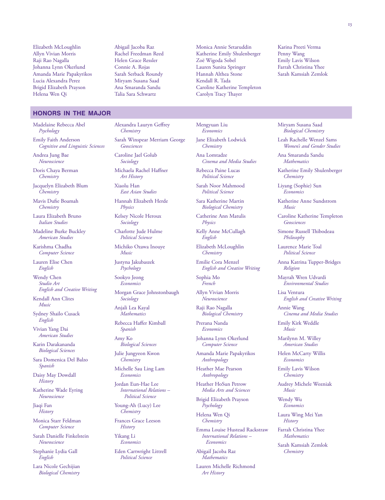Elizabeth McLoughlin Allyn Vivian Morris Raji Rao Nagalla Johanna Lynn Okerlund Amanda Marie Papakyrikos Lucia Alexandra Perez Brigid Elizabeth Prayson Helena Wen Qi

#### **honors in the major**

Madelaine Rebecca Abel *Psychology*

Emily Faith Anderson *Cognitive and Linguistic Sciences*

Andrea Jung Bae *Neuroscience*

Doris Chaya Berman *Chemistry*

Jacquelyn Elizabeth Blum *Chemistry*

Mavis Dufie Boamah *Chemistry*

Laura Elizabeth Bruno *Italian Studies*

Madeline Burke Buckley *American Studies*

Karishma Chadha *Computer Science*

Lauren Elise Chen *English*

Wendy Chen *Studio Art English and Creative Writing*

Kendall Ann Clites *Music*

Sydney Shailo Cusack *English*

Vivian Yang Dai *American Studies*

Karin Darakananda *Biological Sciences*

Sara Domenica Del Balzo *Spanish*

Daisy May Dowdall *History*

Katherine Wade Eyring *Neuroscience*

Jiaqi Fan *History*

Monica Starr Feldman *Computer Science*

Sarah Danielle Finkelstein *Neuroscience*

Stephanie Lydia Gall *English*

Lara Nicole Gechijian *Biological Chemistry*

Abigail Jacoba Raz Rachel Freedman Reed Helen Grace Ressler Connie A. Rojas Sarah Serback Roundy Miryam Susana Saad Ana Smaranda Sandu Talia Sara Schwartz

Alexandra Lauryn Geffrey

Michaela Rachel Haffner *Art History* Xiaolu Han

*East Asian Studies* Hannah Elizabeth Herde

Kelsey Nicole Heroux *Sociology*

Charlotte Jude Hulme *Political Science* Michiko Ozawa Inouye

*Physics*

*Music*

Justyna Jakubaszek *Psychology* Sookyo Jeong *Economics*

*Sociology* Anjali Lea Kayal *Mathematics* Rebecca Haffer Kimball

*Spanish* Amy Ko

*Biological Sciences* Julie Jungyeon Kwon *Chemistry*

Michelle Sau Ling Lam *Economics* Jordan Eun-Hae Lee *International Relations – Political Science* Young-Ah (Lucy) Lee *Chemistry* Frances Grace Leeson *History* Yikang Li *Economics*

Eden Cartwright Littrell *Political Science*

Morgan Grace Johnstonbaugh

Sarah Winspear Merriam George

*Chemistry*

*Geosciences* Caroline Jael Golub *Sociology*

Monica Annie Setaruddin Katherine Emily Shulenberger Zoë Wigoda Sobel Lauren Sunita Springer Hannah Althea Stone Kendall R. Tada Caroline Katherine Templeton Carolyn Tracy Thayer

Karina Preeti Verma Penny Wang Emily Lavis Wilson Farrah Christina Yhee Sarah Kamsiah Zemlok

Mengyuan Liu *Economics*

Jane Elizabeth Lodwick *Chemistry*

Ana Lomtadze *Cinema and Media Studies*

Rebecca Paine Lucas *Political Science*

Sarah Noor Mahmood *Political Science*

Sara Katherine Martin *Biological Chemistry*

Catherine Ann Matulis *Physics*

Kelly Anne McCullagh *English* Elizabeth McLoughlin

*Chemistry*

Emilie Cora Menzel *English and Creative Writing*

Sophia Mo *French*

Allyn Vivian Morris *Neuroscience*

Raji Rao Nagalla *Biological Chemistry*

Prerana Nanda *Economics*

Johanna Lynn Okerlund *Computer Science*

Amanda Marie Papakyrikos *Anthropology*

Heather Mae Pearson *Anthropology*

Heather HoSun Petrow *Media Arts and Sciences*

Brigid Elizabeth Prayson *Psychology*

Helena Wen Qi *Chemistry*

Emma Louise Hustead Rackstraw *International Relations – Economics*

Abigail Jacoba Raz *Mathematics*

Lauren Michelle Richmond *Art History*

Miryam Susana Saad *Biological Chemistry*

Leah Rachelle Wenzel Sams *Women's and Gender Studies*

Ana Smaranda Sandu *Mathematics*

Katherine Emily Shulenberger *Chemistry*

Liyang (Sophie) Sun *Economics*

Katherine Anne Sundstrom *Music*

Caroline Katherine Templeton *Geosciences*

Simone Russell Thibodeau *Philosophy*

Laurence Marie Toal *Political Science*

Anna Katrina Tupper-Bridges *Religion*

Mayrah Wren Udvardi *Environmental Studies*

Lisa Ventura *English and Creative Writing*

Annie Wang *Cinema and Media Studies*

Emily Kirk Weddle *Music*

Marilynn M. Willey *American Studies*

Helen McCarty Willis *Economics*

Emily Lavis Wilson *Chemistry*

Audrey Michele Wozniak *Music*

Wendy Wu *Economics*

Laura Wing Mei Yan *History*

Farrah Christina Yhee *Mathematics*

Sarah Kamsiah Zemlok *Chemistry*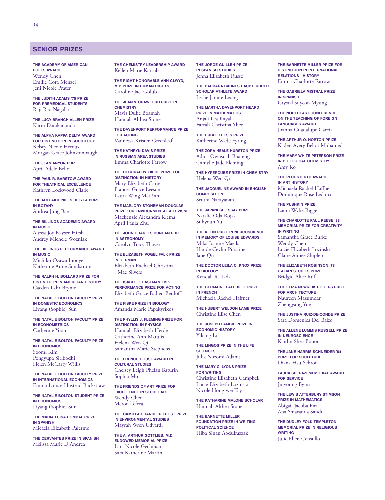#### **senior prizes**

**The Academy of American Poets Award** Wendy Chen Emilie Cora Menzel Jeni Nicole Prater

**The Judith Adams '75 Prize for Premedical Students** Raji Rao Nagalla

**The Lucy Branch Allen Prize** Karin Darakananda

**The Alpha Kappa Delta Award for Distinction in Sociology** Kelsey Nicole Heroux Morgan Grace Johnstonbaugh

**The Jean Anyon Prize** April Adele Bello

**The Paul R. Barstow Award for Theatrical Excellence** Kathryn Lockwood Clark

**The Adelaide Niles Belyea Prize in Botany** Andrea Jung Bae

**The Billings Academic Award in Music** Alyssa Joy Kayser-Hirsh Audrey Michele Wozniak

**The Billings Performance Award in Music** Michiko Ozawa Inouye Katherine Anne Sundstrom

**The Ralph H. Bollard Prize for Distinction in American History** Caeden Lahr Brynie

**The Natalie Bolton Faculty Prize in Domestic Economics** Liyang (Sophie) Sun

**The Natalie Bolton Faculty Prize in Econometrics** Catherine Yoon

**The Natalie Bolton Faculty Prize in Economics** Soomi Kim Pongyupa Siribodhi Helen McCarty Willis

**The Natalie Bolton Faculty Prize in International Economics** Emma Louise Hustead Rackstraw

**The Natalie Bolton Student Prize in Economics** Liyang (Sophie) Sun

**The Maria Luisa Bombal Prize in Spanish** Micaela Elizabeth Palermo

**The Cervantes Prize in Spanish** Melissa Marie D'Andrea

**The Chemistry Leadership Award** Kellen Marie Kartub

**The Right Honorable Ann Clwyd, M.P. Prize in Human Rights** Caroline Jael Golub

**The Jean V. Crawford Prize in Chemistry** Mavis Dufie Boamah Hannah Althea Stone

**The Davenport Performance Prize for Acting** Vannessa Kristen Greenleaf

**The Kathryn Davis Prize in Russian Area Studies** Emma Charlotte Farrow

**The Deborah W. Diehl Prize for Distinction in History** Mary Elizabeth Carter Frances Grace Leeson Laura Wing Mei Yan

**The Marjory Stoneman Douglas Prize for Environmental Activism** Mackenzie Alexandra Klema April Paula Zhu

**The John Charles Duncan Prize in Astronomy** Carolyn Tracy Thayer

**The Elizabeth Vogel Falk Prize in German** Elizabeth Rachael Christina Mae Silvers

**The Isabelle Eastman Fisk Performance Prize for Acting** Elizabeth Grace Padien Berdoff

**The Fiske Prize in Biology** Amanda Marie Papakyrikos

**The Phyllis J. Fleming Prize for Distinction in Physics** Hannah Elizabeth Herde Catherine Ann Matulis Helena Wen Qi Samantha Marie Stephens

**The French House Award in Cultural Studies** Chelsey Leigh Phelan Baturin Sophia Mo

**The Friends of Art Prize for Excellence in Studio Art** Wendy Chen Meron Tefera

**The Camilla Chandler Frost Prize in Environmental Studies** Mayrah Wren Udvardi

**The A. Arthur Gottlieb, M.D. Endowed Memorial Prize** Lara Nicole Gechijian Sara Katherine Martin

**The Jorge Guillen Prize in Spanish Studies** Jenna Elizabeth Russo

**The Barbara Barnes Hauptfuhrer Scholar Athlete Award** Leslie Janine Leong

**The Martha Davenport Heard Prize in Mathematics** Anjali Lea Kayal Farrah Christina Yhee

**The Hubel Thesis Prize** Katherine Wade Eyring

**The Zora Neale Hurston Prize** Adjoa Owusuah Boateng Camylle Jade Fleming

**The Hypercube Prize in Chemistry** Helena Wen Qi

**The Jacqueline Award in English Composition** Sruthi Narayanan

**The Japanese Essay Prize** Natalie Oda Rojas Suhyoun Yu

**The Klein Prize in Neuroscience in Memory of Louise Edwards** Mika Joanne Maeda Hande Ceylin Piristine Jane Qu

**The Doctor Leila C. Knox Prize in Biology** Kendall R. Tada

**The Germaine Lafeuille Prize in French** Michaela Rachel Haffner

**The Hubert Weldon Lamb Prize** Christine Elise Chen

**The Joseph Lambie Prize in Economic History** Yikang Li

**The Lingos Prize in the Life Sciences** Julia Nozomi Adams

**The Mary C. Lyons Prize** *FOR WRITING* Christine Elizabeth Campbell Lucie Elizabeth Lozinski Nicole Hong-wei Tay

**The Katharine Malone Scholar** Hannah Althea Stone

**The Barnette Miller Foundation Prize in Writing— Political Science** Hiba Sinan Abdulrazzak

**The Barnette Miller Prize for Distinction in International Relations—History** Emma Charlotte Farrow

**The Gabriela Mistral Prize in Spanish** Crystal Suyeon Myung

**The Northeast Conference on the Teaching of Foreign Languages Award** Joanna Guadalupe Garcia

**The Arthur O. Norton Prize** Kaden Avery Bellot Mohamed

**The Mary White Peterson Prize in Biological Chemistry** Amy Ko

**The Plogsterth Award in Art History** Michaela Rachel Haffner Dominique Rose Ledoux

**The Pushkin Prize** Laura Wylie Rigge

**The chArloTTe PAul reese '38 memoriAl Prize for creATiviTy IN WRITING** Samantha Grace Burke Wendy Chen

Lucie Elizabeth Lozinski Claire Aimée Shiplett

**The Elizabeth Robinson '78 Italian Studies Prize** Bridgid Alice Ruf

**The Eliza Newkirk Rogers Prize for Architecture** Naureen Mazumdar Zhengyang Yue

**The Justina Ruiz-De-Conde Prize** Sara Domenica Del Balzo

**The Allene Lummis Russell Prize in Neuroscience** Kaitlin Shea Bohon

**The JAne hArris schneider '54 Prize for sculPTure** Diana Hsu Schron

**Laura Sperazi Memorial Award for Service** Jinyoung Byun

**The Lewis Atterbury Stimson Prize in Mathematics** Abigail Jacoba Raz Ana Smaranda Sandu

**The Dudley Folk Templeton Memorial Prize in Religious Writing** Julie Ellen Censullo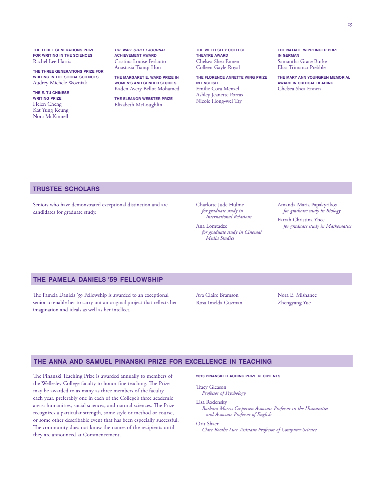**The Three generATions Prize for wriTing in The sciences** Rachel Lee Harris

**The Three Generations Prize for Writing in the Social Sciences** Audrey Michele Wozniak

**The E. Tu Chinese Writing Prize** Helen Cheng Kat Yung Keung Nora McKinnell

*The Wall Street Journal* **Achievement Award** Cristina Louise Ferlauto Anastasia Tianqi Hou

**The Margaret E. Ward Prize in Women's and Gender Studies** Kaden Avery Bellot Mohamed

**The Eleanor Webster Prize** Elizabeth McLoughlin

**The Wellesley College Theatre Award** Chelsea Shea Ennen Colleen Gayle Royal

**The Florence Annette Wing Prize in English** Emilie Cora Menzel Ashley Jeanette Porras Nicole Hong-wei Tay

**The Natalie Wipplinger Prize in German** Samantha Grace Burke Elisa Trimarco Prebble

**The Mary Ann Youngren Memorial Award in Critical Reading** Chelsea Shea Ennen

#### **trustee scholars**

Seniors who have demonstrated exceptional distinction and are candidates for graduate study.

Charlotte Jude Hulme *for graduate study in International Relations*

Ana Lomtadze *for graduate study in Cinema/ Media Studies*

Amanda Maria Papakyrikos *for graduate study in Biology*

Farrah Christina Yhee *for graduate study in Mathematics*

#### **the pamela daniels '59 fellowship**

The Pamela Daniels '59 Fellowship is awarded to an exceptional senior to enable her to carry out an original project that reflects her imagination and ideals as well as her intellect.

Ava Claire Bramson Rosa Imelda Guzman Nora E. Mishanec Zhengyang Yue

#### **the anna and samuel pinanski prize for excellence in teaching**

The Pinanski Teaching Prize is awarded annually to members of **2013 Pinanski Teaching Prize Recipients** the Wellesley College faculty to honor fine teaching. The Prize may be awarded to as many as three members of the faculty each year, preferably one in each of the College's three academic areas: humanities, social sciences, and natural sciences. The Prize recognizes a particular strength, some style or method or course, or some other describable event that has been especially successful. The community does not know the names of the recipients until they are announced at Commencement.

Tracy Gleason *Professor of Psychology*

Lisa Rodensky

*Barbara Morris Caspersen Associate Professor in the Humanities and Associate Professor of English*

Orit Shaer

*Clare Boothe Luce Assistant Professor of Computer Science*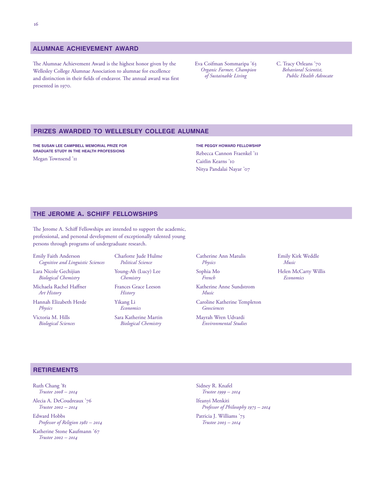#### **alumnae achievement award**

The Alumnae Achievement Award is the highest honor given by the Wellesley College Alumnae Association to alumnae for excellence and distinction in their fields of endeavor. The annual award was first presented in 1970.

Eva Coifman Sommaripa '63 *Organic Farmer, Champion of Sustainable Living*

C. Tracy Orleans '70 *Behavioral Scientist, Public Health Advocate*

#### **prizes awarded to wellesley college alumnae**

**THE SUSAN LEE CAMPBELL MEMORIAL PRIZE FOR GRADUATE STUDY IN THE HEALTH PROFESSIONS**

Megan Townsend '11

**The PEGGY HOWARD Fellowship** Rebecca Cannon Fraenkel '11 Caitlin Kearns '10 Nitya Pandalai Nayar '07

#### **the jerome a. schiff fellowships**

The Jerome A. Schiff Fellowships are intended to support the academic, professional, and personal development of exceptionally talented young persons through programs of undergraduate research.

Emily Faith Anderson *Cognitive and Linguistic Sciences*

Lara Nicole Gechijian *Biological Chemistry*

Michaela Rachel Haffner *Art History*

Hannah Elizabeth Herde *Physics*

Victoria M. Hills *Biological Sciences* Charlotte Jude Hulme *Political Science* 

Young-Ah (Lucy) Lee *Chemistry*

Frances Grace Leeson *History*

Yikang Li *Economics*

Sara Katherine Martin *Biological Chemistry*

Catherine Ann Matulis *Physics*

Sophia Mo *French*

Katherine Anne Sundstrom *Music*

Caroline Katherine Templeton *Geosciences*

Mayrah Wren Udvardi *Environmental Studies* Emily Kirk Weddle *Music*

Helen McCarty Willis *Economics*

**retirements**

Ruth Chang '81 *Trustee 2008 – 2014* Alecia A. DeCoudreaux '76 *Trustee 2002 – 2014*

Edward Hobbs *Professor of Religion 1981 – 2014*

Katherine Stone Kaufmann '67 *Trustee 2002 – 2014*

Sidney R. Knafel *Trustee 1999 – 2014*

Ifeanyi Menkiti *Professor of Philosophy 1973 – 2014*

Patricia J. Williams '73 *Trustee 2003 – 2014*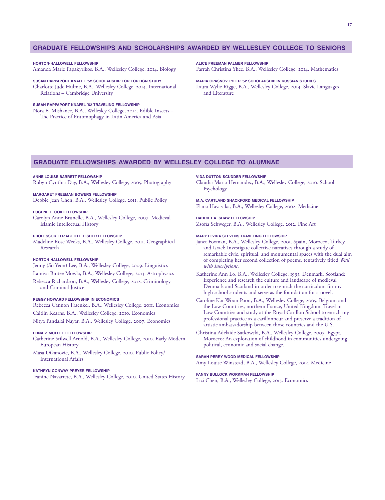#### **graduate fellowships and scholarships awarded by wellesley college to seniors**

**HORTON-HALLOWELL FELLOWSHIP** Amanda Marie Papakyrikos, B.A., Wellesley College, 2014. Biology

**SUSAN RAPPAPORT KNAFEL '52 SCHOLARSHIP FOR FOREIGN STUDY** Charlotte Jude Hulme, B.A., Wellesley College, 2014. International Relations – Cambridge University

#### **SUSAN RAPPAPORT KNAFEL '52 TRAVELING FELLOWSHIP**

Nora E. Mishanec, B.A., Wellesley College, 2014. Edible Insects – The Practice of Entomophagy in Latin America and Asia

**ALICE FREEMAN PALMER FELLOWSHIP**

Farrah Christina Yhee, B.A., Wellesley College, 2014. Mathematics

**MARIA OPASNOV TYLER '52 SCHOLARSHIP IN RUSSIAN STUDIES** Laura Wylie Rigge, B.A., Wellesley College, 2014. Slavic Languages and Literature

#### **graduate fellowships awarded by wellesley college to alumnae**

#### **ANNE LOUISE BARRETT FELLOWSHIP**

Robyn Cynthia Day, B.A., Wellesley College, 2005. Photography

#### **MARGARET FREEMAN BOWERS FELLOWSHIP**

Debbie Jean Chen, B.A., Wellesley College, 2011. Public Policy

#### **EUGENE L. COX FELLOWSHIP**

Carolyn Anne Brunelle, B.A., Wellesley College, 2007. Medieval Islamic Intellectual History

#### **PROFESSOR ELIZABETH F. FISHER FELLOWSHIP**

Madeline Rose Weeks, B.A., Wellesley College, 2011. Geographical Research

#### **HORTON-HALLOWELL FELLOWSHIP**

Jenny (So Yeon) Lee, B.A., Wellesley College, 2009. Linguistics Lamiya Bintee Mowla, B.A., Wellesley College, 2013. Astrophysics Rebecca Richardson, B.A., Wellesley College, 2012. Criminology and Criminal Justice

#### **PEGGY HOWARD FELLOWSHIP IN ECONOMICS**

Rebecca Cannon Fraenkel, B.A., Wellesley College, 2011. Economics Caitlin Kearns, B.A., Wellesley College, 2010. Economics Nitya Pandalai Nayar, B.A., Wellesley College, 2007. Economics

#### **EDNA V. MOFFETT FELLOWSHIP**

Catherine Stilwell Arnold, B.A., Wellesley College, 2010. Early Modern European History

Masa Dikanovic, B.A., Wellesley College, 2010. Public Policy/ International Affairs

#### **KATHRYN CONWAY PREYER FELLOWSHIP**

Jeanine Navarrete, B.A., Wellesley College, 2010. United States History

**VIDA DUTTON SCUDDER FELLOWSHIP**

Claudia Maria Hernandez, B.A., Wellesley College, 2010. School Psychology

**M.A. CARTLAND SHACKFORD MEDICAL FELLOWSHIP** Elana Hayasaka, B.A., Wellesley College, 2002. Medicine

**HARRIET A. SHAW FELLOWSHIP** Zsofia Schweger, B.A., Wellesley College, 2012. Fine Art

#### **MARY ELVIRA STEVENS TRAVELING FELLOWSHIP**

- Janet Foxman, B.A., Wellesley College, 2001. Spain, Morocco, Turkey and Israel: Investigate collective narratives through a study of remarkable civic, spiritual, and monumental spaces with the dual aim of completing her second collection of poems, tentatively titled *Wall with Inscriptions*.
- Katherine Ann Lo, B.A., Wellesley College, 1995. Denmark, Scotland: Experience and research the culture and landscape of medieval Denmark and Scotland in order to enrich the curriculum for my high school students and serve as the foundation for a novel.
- Caroline Kar Woon Poon, B.A., Wellesley College, 2005. Belgium and the Low Countries, northern France, United Kingdom: Travel in Low Countries and study at the Royal Carillon School to enrich my professional practice as a carillonneur and preserve a tradition of artistic ambassadorship between those countries and the U.S.
- Christina Adelaide Satkowski, B.A., Wellesley College, 2007. Egypt, Morocco: An exploration of childhood in communities undergoing political, economic and social change.

#### **SARAH PERRY WOOD MEDICAL FELLOWSHIP**

Amy Louise Winstead, B.A., Wellesley College, 2012. Medicine

#### **FANNY BULLOCK WORKMAN FELLOWSHIP**

Lizi Chen, B.A., Wellesley College, 2013. Economics